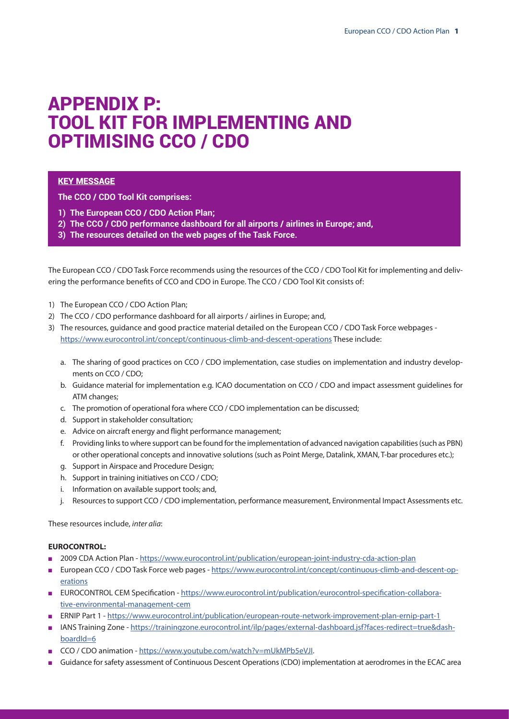# APPENDIX P: TOOL KIT FOR IMPLEMENTING AND OPTIMISING CCO / CDO

# **KEY MESSAGE**

**The CCO / CDO Tool Kit comprises:**

- **1) The European CCO / CDO Action Plan;**
- **2) The CCO / CDO performance dashboard for all airports / airlines in Europe; and,**
- **3) The resources detailed on the web pages of the Task Force.**

The European CCO / CDO Task Force recommends using the resources of the CCO / CDO Tool Kit for implementing and delivering the performance benefits of CCO and CDO in Europe. The CCO / CDO Tool Kit consists of:

- 1) The European CCO / CDO Action Plan;
- 2) The CCO / CDO performance dashboard for all airports / airlines in Europe; and,
- 3) The resources, guidance and good practice material detailed on the European CCO / CDO Task Force webpages <https://www.eurocontrol.int/concept/continuous-climb-and-descent-operations> These include:
	- a. The sharing of good practices on CCO / CDO implementation, case studies on implementation and industry developments on CCO / CDO;
	- b. Guidance material for implementation e.g. ICAO documentation on CCO / CDO and impact assessment guidelines for ATM changes;
	- c. The promotion of operational fora where CCO / CDO implementation can be discussed;
	- d. Support in stakeholder consultation;
	- e. Advice on aircraft energy and flight performance management;
	- f. Providing links to where support can be found for the implementation of advanced navigation capabilities (such as PBN) or other operational concepts and innovative solutions (such as Point Merge, Datalink, XMAN, T-bar procedures etc.);
	- g. Support in Airspace and Procedure Design;
	- h. Support in training initiatives on CCO / CDO;
	- i. Information on available support tools; and,
	- j. Resources to support CCO / CDO implementation, performance measurement, Environmental Impact Assessments etc.

These resources include, *inter alia*:

### **EUROCONTROL:**

- n 2009 CDA Action Plan https://www.eurocontrol.int/publication/european-joint-industry-cda-action-plan
- <sup>n</sup> European CCO / CDO Task Force web pages - [https://www.eurocontrol.int/concept/continuous-climb-and-descent-op](https://www.eurocontrol.int/concept/continuous-climb-and-descent-operations)[erations](https://www.eurocontrol.int/concept/continuous-climb-and-descent-operations)
- EUROCONTROL CEM Specification [https://www.eurocontrol.int/publication/eurocontrol-specification-collabora](https://www.eurocontrol.int/publication/eurocontrol-specification-collaborative-environmental-management-cem)[tive-environmental-management-cem](https://www.eurocontrol.int/publication/eurocontrol-specification-collaborative-environmental-management-cem)
- <sup>n</sup> ERNIP Part 1 <https://www.eurocontrol.int/publication/european-route-network-improvement-plan-ernip-part-1>
- IANS Training Zone [https://trainingzone.eurocontrol.int/ilp/pages/external-dashboard.jsf?faces-redirect=true&dash](https://trainingzone.eurocontrol.int/ilp/pages/external-dashboard.jsf?faces-redirect=true&dashboardId=6)[boardId=6](https://trainingzone.eurocontrol.int/ilp/pages/external-dashboard.jsf?faces-redirect=true&dashboardId=6)
- CCO / CDO animation [https://www.youtube.com/watch?v=mUkMPb5eVJI.](https://www.youtube.com/watch?v=mUkMPb5eVJI)
- <sup>n</sup> Guidance for safety assessment of Continuous Descent Operations (CDO) implementation at aerodromes in the ECAC area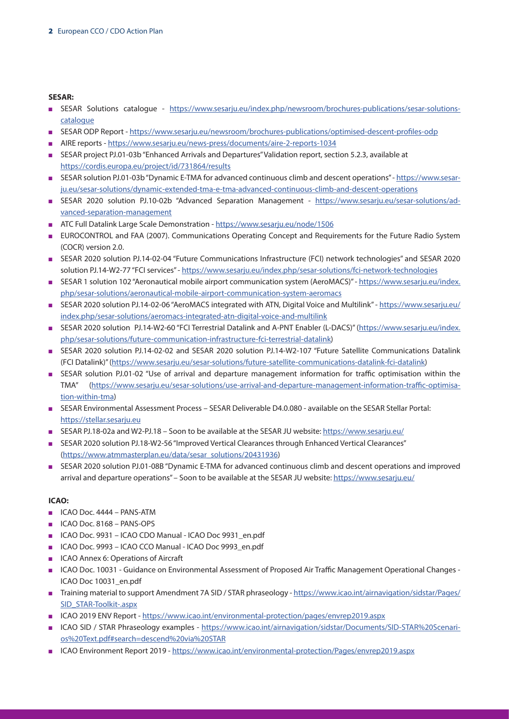### **SESAR:**

- <sup>n</sup> SESAR Solutions catalogue [https://www.sesarju.eu/index.php/newsroom/brochures-publications/sesar-solutions](https://www.sesarju.eu/index.php/newsroom/brochures-publications/sesar-solutions-catalogue)[catalogue](https://www.sesarju.eu/index.php/newsroom/brochures-publications/sesar-solutions-catalogue)
- <sup>n</sup> SESAR ODP Report <https://www.sesarju.eu/newsroom/brochures-publications/optimised-descent-profiles-odp>
- n AIRE reports -<https://www.sesarju.eu/news-press/documents/aire-2-reports-1034>
- <sup>n</sup> SESAR project PJ.01-03b "Enhanced Arrivals and Departures" Validation report, section 5.2.3, available at <https://cordis.europa.eu/project/id/731864/results>
- <sup>n</sup> SESAR solution PJ.01-03b "Dynamic E-TMA for advanced continuous climb and descent operations" [https://www.sesar](https://www.sesarju.eu/sesar-solutions/dynamic-extended-tma-e-tma-advanced-continuous-climb-and-descent-operations)[ju.eu/sesar-solutions/dynamic-extended-tma-e-tma-advanced-continuous-climb-and-descent-operations](https://www.sesarju.eu/sesar-solutions/dynamic-extended-tma-e-tma-advanced-continuous-climb-and-descent-operations)
- <sup>n</sup> SESAR 2020 solution PJ.10-02b "Advanced Separation Management [https://www.sesarju.eu/sesar-solutions/ad](https://www.sesarju.eu/sesar-solutions/advanced-separation-management)[vanced-separation-management](https://www.sesarju.eu/sesar-solutions/advanced-separation-management)
- n ATC Full Datalink Large Scale Demonstration -<https://www.sesarju.eu/node/1506>
- <sup>n</sup> EUROCONTROL and FAA (2007). Communications Operating Concept and Requirements for the Future Radio System (COCR) version 2.0.
- <sup>n</sup> SESAR 2020 solution PJ.14-02-04 "Future Communications Infrastructure (FCI) network technologies" and SESAR 2020 solution PJ.14-W2-77 "FCI services" - <https://www.sesarju.eu/index.php/sesar-solutions/fci-network-technologies>
- SESAR 1 solution 102 "Aeronautical mobile airport communication system (AeroMACS)" - [https://www.sesarju.eu/index.](https://www.sesarju.eu/index.php/sesar-solutions/aeronautical-mobile-airport-communication-system-aeromacs) [php/sesar-solutions/aeronautical-mobile-airport-communication-system-aeromacs](https://www.sesarju.eu/index.php/sesar-solutions/aeronautical-mobile-airport-communication-system-aeromacs)
- <sup>n</sup> SESAR 2020 solution PJ.14-02-06 "AeroMACS integrated with ATN, Digital Voice and Multilink" [https://www.sesarju.eu/](https://www.sesarju.eu/index.php/sesar-solutions/aeromacs-integrated-atn-digital-voice-and-multilink) [index.php/sesar-solutions/aeromacs-integrated-atn-digital-voice-and-multilink](https://www.sesarju.eu/index.php/sesar-solutions/aeromacs-integrated-atn-digital-voice-and-multilink)
- SESAR 2020 solution PJ.14-W2-60 "FCI Terrestrial Datalink and A-PNT Enabler (L-DACS)" ([https://www.sesarju.eu/index.](https://www.sesarju.eu/index.php/sesar-solutions/future-communication-infrastructure-fci-terrestrial-datalink) [php/sesar-solutions/future-communication-infrastructure-fci-terrestrial-datalink](https://www.sesarju.eu/index.php/sesar-solutions/future-communication-infrastructure-fci-terrestrial-datalink))
- <sup>n</sup> SESAR 2020 solution PJ.14-02-02 and SESAR 2020 solution PJ.14-W2-107 "Future Satellite Communications Datalink (FCI Datalink)" (<https://www.sesarju.eu/sesar-solutions/future-satellite-communications-datalink-fci-datalink>)
- <sup>n</sup> SESAR solution PJ.01-02 "Use of arrival and departure management information for traffic optimisation within the TMA" [\(https://www.sesarju.eu/sesar-solutions/use-arrival-and-departure-management-information-traffic-optimisa](https://www.sesarju.eu/sesar-solutions/use-arrival-and-departure-management-information-traffic-optimisation-within-tma)[tion-within-tma](https://www.sesarju.eu/sesar-solutions/use-arrival-and-departure-management-information-traffic-optimisation-within-tma))
- <sup>n</sup> SESAR Environmental Assessment Process SESAR Deliverable D4.0.080 available on the SESAR Stellar Portal: https://stellar.sesariu.eu
- <sup>n</sup> SESAR PJ.18-02a and W2-PJ.18 Soon to be available at the SESAR JU website: <https://www.sesarju.eu/>
- n SESAR 2020 solution PJ.18-W2-56 "Improved Vertical Clearances through Enhanced Vertical Clearances" ([https://www.atmmasterplan.eu/data/sesar\\_solutions/20431936](https://www.atmmasterplan.eu/data/sesar_solutions/20431936))
- <sup>n</sup> SESAR 2020 solution PJ.01-08B "Dynamic E-TMA for advanced continuous climb and descent operations and improved arrival and departure operations" – Soon to be available at the SESAR JU website:<https://www.sesarju.eu/>

## **ICAO:**

- $ICAO Doc. 4444 PANS-ATM$
- $ICAO Doc. 8168 PANS-OPS$
- <sup>n</sup> ICAO Doc. 9931 ICAO CDO Manual ICAO Doc 9931\_en.pdf
- ICAO Doc. 9993 ICAO CCO Manual ICAO Doc 9993\_en.pdf
- **n** ICAO Annex 6: Operations of Aircraft
- <sup>n</sup> ICAO Doc. 10031 Guidance on Environmental Assessment of Proposed Air Traffic Management Operational Changes ICAO Doc 10031\_en.pdf
- n Training material to support Amendment 7A SID / STAR phraseology [https://www.icao.int/airnavigation/sidstar/Pages/](https://www.icao.int/airnavigation/sidstar/Pages/SID_STAR-Toolkit-.aspx) [SID\\_STAR-Toolkit-.aspx](https://www.icao.int/airnavigation/sidstar/Pages/SID_STAR-Toolkit-.aspx)
- <sup>n</sup> ICAO 2019 ENV Report <https://www.icao.int/environmental-protection/pages/envrep2019.aspx>
- <sup>n</sup> ICAO SID / STAR Phraseology examples [https://www.icao.int/airnavigation/sidstar/Documents/SID-STAR%20Scenari](https://www.icao.int/airnavigation/sidstar/Documents/SID-STAR%20Scenarios%20Text.pdf#search=descend%20via%20STAR)[os%20Text.pdf#search=descend%20via%20STAR](https://www.icao.int/airnavigation/sidstar/Documents/SID-STAR%20Scenarios%20Text.pdf#search=descend%20via%20STAR)
- ICAO Environment Report 2019 <https://www.icao.int/environmental-protection/Pages/envrep2019.aspx>